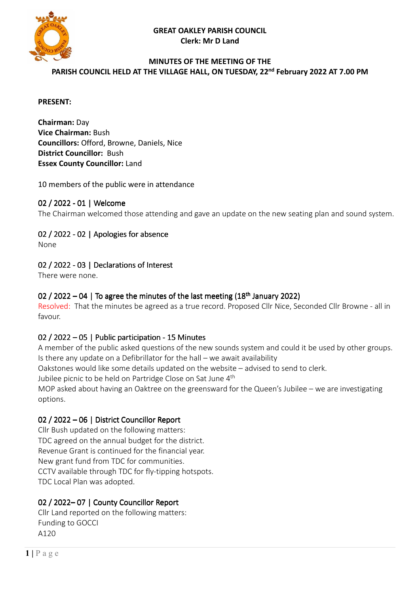**GREAT OAKLEY PARISH COUNCIL Clerk: Mr D Land** 



#### **MINUTES OF THE MEETING OF THE PARISH COUNCIL HELD AT THE VILLAGE HALL, ON TUESDAY, 22nd February 2022 AT 7.00 PM**

### **PRESENT:**

**Chairman:** Day **Vice Chairman:** Bush **Councillors:** Offord, Browne, Daniels, Nice **District Councillor:** Bush **Essex County Councillor:** Land

### 10 members of the public were in attendance

## 02 / 2022 - 01 | Welcome

The Chairman welcomed those attending and gave an update on the new seating plan and sound system.

## 02 / 2022 - 02 | Apologies for absence

None

## 02 / 2022 - 03 | Declarations of Interest

There were none.

## 02 / 2022 – 04 | To agree the minutes of the last meeting  $(18<sup>th</sup>$  January 2022)

Resolved: That the minutes be agreed as a true record. Proposed Cllr Nice, Seconded Cllr Browne - all in favour.

### 02 / 2022 – 05 | Public participation - 15 Minutes

A member of the public asked questions of the new sounds system and could it be used by other groups. Is there any update on a Defibrillator for the hall – we await availability

Oakstones would like some details updated on the website – advised to send to clerk.

Jubilee picnic to be held on Partridge Close on Sat June 4<sup>th</sup>

MOP asked about having an Oaktree on the greensward for the Queen's Jubilee – we are investigating options.

## 02 / 2022 – 06 | District Councillor Report

Cllr Bush updated on the following matters: TDC agreed on the annual budget for the district. Revenue Grant is continued for the financial year. New grant fund from TDC for communities. CCTV available through TDC for fly-tipping hotspots. TDC Local Plan was adopted.

## 02 / 2022-07 | County Councillor Report

Cllr Land reported on the following matters: Funding to GOCCI A120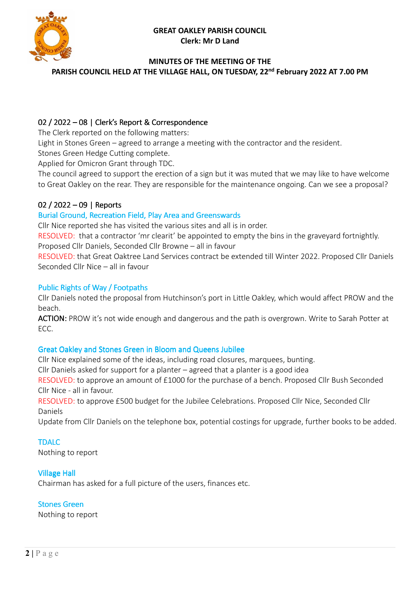#### **GREAT OAKLEY PARISH COUNCIL Clerk: Mr D Land**



### **MINUTES OF THE MEETING OF THE**

**PARISH COUNCIL HELD AT THE VILLAGE HALL, ON TUESDAY, 22nd February 2022 AT 7.00 PM** 

### 02 / 2022 – 08 | Clerk's Report & Correspondence

The Clerk reported on the following matters:

Light in Stones Green – agreed to arrange a meeting with the contractor and the resident.

Stones Green Hedge Cutting complete.

Applied for Omicron Grant through TDC.

The council agreed to support the erection of a sign but it was muted that we may like to have welcome to Great Oakley on the rear. They are responsible for the maintenance ongoing. Can we see a proposal?

### 02 / 2022 – 09 | Reports

### Burial Ground, Recreation Field, Play Area and Greenswards

Cllr Nice reported she has visited the various sites and all is in order.

RESOLVED: that a contractor 'mr clearit' be appointed to empty the bins in the graveyard fortnightly. Proposed Cllr Daniels, Seconded Cllr Browne – all in favour

RESOLVED: that Great Oaktree Land Services contract be extended till Winter 2022. Proposed Cllr Daniels Seconded Cllr Nice – all in favour

#### Public Rights of Way / Footpaths

Cllr Daniels noted the proposal from Hutchinson's port in Little Oakley, which would affect PROW and the beach.

ACTION: PROW it's not wide enough and dangerous and the path is overgrown. Write to Sarah Potter at ECC.

### Great Oakley and Stones Green in Bloom and Queens Jubilee

Cllr Nice explained some of the ideas, including road closures, marquees, bunting.

Cllr Daniels asked for support for a planter – agreed that a planter is a good idea

RESOLVED: to approve an amount of £1000 for the purchase of a bench. Proposed Cllr Bush Seconded Cllr Nice - all in favour.

RESOLVED: to approve £500 budget for the Jubilee Celebrations. Proposed Cllr Nice, Seconded Cllr Daniels

Update from Cllr Daniels on the telephone box, potential costings for upgrade, further books to be added.

#### TDALC

Nothing to report

### Village Hall

Chairman has asked for a full picture of the users, finances etc.

#### Stones Green

Nothing to report